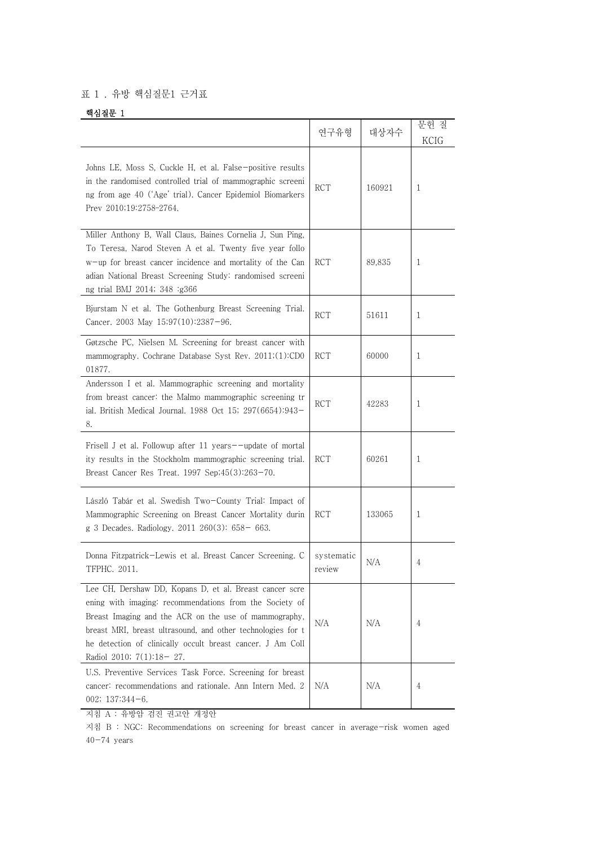## 표 1 . 유방 핵심질문1 근거표

## 핵심질문 1

|                                                                                                                                                                                                                                                                                                                                      | 연구유형                 | 대상자수   | 문헌 질<br>KCIG |
|--------------------------------------------------------------------------------------------------------------------------------------------------------------------------------------------------------------------------------------------------------------------------------------------------------------------------------------|----------------------|--------|--------------|
| Johns LE, Moss S, Cuckle H, et al. False-positive results<br>in the randomised controlled trial of mammographic screeni<br>ng from age 40 ('Age' trial). Cancer Epidemiol Biomarkers<br>Prev 2010;19:2758-2764.                                                                                                                      | <b>RCT</b>           | 160921 | 1            |
| Miller Anthony B, Wall Claus, Baines Cornelia J, Sun Ping,<br>To Teresa, Narod Steven A et al. Twenty five year follo<br>w-up for breast cancer incidence and mortality of the Can<br>adian National Breast Screening Study: randomised screeni<br>ng trial BMJ 2014; 348 :g366                                                      | RCT                  | 89,835 | 1            |
| Bjurstam N et al. The Gothenburg Breast Screening Trial.<br>Cancer. 2003 May 15;97(10):2387-96.                                                                                                                                                                                                                                      | RCT                  | 51611  | 1            |
| Gøtzsche PC, Nielsen M. Screening for breast cancer with<br>mammography. Cochrane Database Syst Rev. 2011;(1):CD0<br>01877.                                                                                                                                                                                                          | <b>RCT</b>           | 60000  | 1            |
| Andersson I et al. Mammographic screening and mortality<br>from breast cancer: the Malmo mammographic screening tr<br>ial. British Medical Journal. 1988 Oct 15; 297(6654):943-<br>8.                                                                                                                                                | <b>RCT</b>           | 42283  | 1            |
| Frisell J et al. Followup after 11 years--update of mortal<br>ity results in the Stockholm mammographic screening trial.<br>Breast Cancer Res Treat. 1997 Sep;45(3):263-70.                                                                                                                                                          | RCT                  | 60261  | 1            |
| László Tabár et al. Swedish Two-County Trial: Impact of<br>Mammographic Screening on Breast Cancer Mortality durin<br>g 3 Decades. Radiology. 2011 260(3): 658- 663.                                                                                                                                                                 | RCT                  | 133065 | 1            |
| Donna Fitzpatrick-Lewis et al. Breast Cancer Screening. C<br>TFPHC. 2011.                                                                                                                                                                                                                                                            | systematic<br>review | N/A    | 4            |
| Lee CH, Dershaw DD, Kopans D, et al. Breast cancer scre<br>ening with imaging: recommendations from the Society of<br>Breast Imaging and the ACR on the use of mammography,<br>breast MRI, breast ultrasound, and other technologies for t<br>he detection of clinically occult breast cancer. J Am Coll<br>Radiol 2010; 7(1):18-27. | N/A                  | N/A    | 4            |
| U.S. Preventive Services Task Force. Screening for breast<br>cancer: recommendations and rationale. Ann Intern Med. 2<br>002; $137:344-6$ .                                                                                                                                                                                          | N/A                  | N/A    | 4            |

지침 A : 유방암 검진 권고안 개정안

지침 B : NGC: Recommendations on screening for breast cancer in average-risk women aged  $40-74$  years